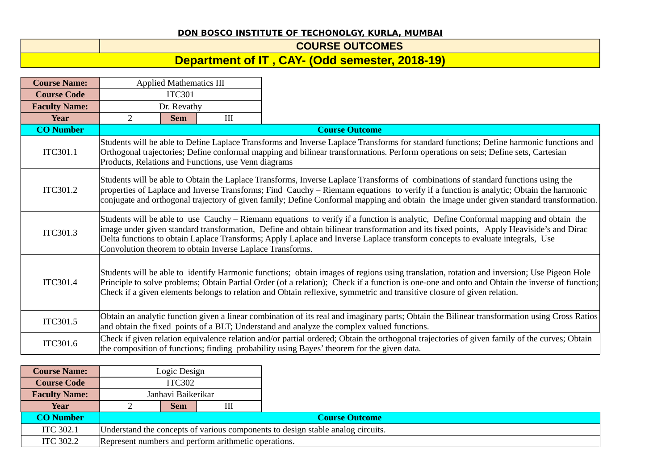## **DON BOSCO INSTITUTE OF TECHONOLGY, KURLA, MUMBAI**

**COURSE OUTCOMES**

## **Department of IT , CAY- (Odd semester, 2018-19)**

| <b>Course Name:</b>  |                                                                                                                                                                                                                                                                                                                                                                                                                        | <b>Applied Mathematics III</b>                                                                                                                                                                                                                                                                                                                                                                                                                                               |                                                      |                                                                                                                                                                                                                                                                               |  |  |  |
|----------------------|------------------------------------------------------------------------------------------------------------------------------------------------------------------------------------------------------------------------------------------------------------------------------------------------------------------------------------------------------------------------------------------------------------------------|------------------------------------------------------------------------------------------------------------------------------------------------------------------------------------------------------------------------------------------------------------------------------------------------------------------------------------------------------------------------------------------------------------------------------------------------------------------------------|------------------------------------------------------|-------------------------------------------------------------------------------------------------------------------------------------------------------------------------------------------------------------------------------------------------------------------------------|--|--|--|
| <b>Course Code</b>   |                                                                                                                                                                                                                                                                                                                                                                                                                        | <b>ITC301</b>                                                                                                                                                                                                                                                                                                                                                                                                                                                                |                                                      |                                                                                                                                                                                                                                                                               |  |  |  |
| <b>Faculty Name:</b> |                                                                                                                                                                                                                                                                                                                                                                                                                        | Dr. Revathy                                                                                                                                                                                                                                                                                                                                                                                                                                                                  |                                                      |                                                                                                                                                                                                                                                                               |  |  |  |
| <b>Year</b>          | 2                                                                                                                                                                                                                                                                                                                                                                                                                      | <b>Sem</b>                                                                                                                                                                                                                                                                                                                                                                                                                                                                   | III                                                  |                                                                                                                                                                                                                                                                               |  |  |  |
| <b>CO Number</b>     |                                                                                                                                                                                                                                                                                                                                                                                                                        |                                                                                                                                                                                                                                                                                                                                                                                                                                                                              |                                                      | <b>Course Outcome</b>                                                                                                                                                                                                                                                         |  |  |  |
| ITC301.1             |                                                                                                                                                                                                                                                                                                                                                                                                                        |                                                                                                                                                                                                                                                                                                                                                                                                                                                                              | Products, Relations and Functions, use Venn diagrams | Students will be able to Define Laplace Transforms and Inverse Laplace Transforms for standard functions; Define harmonic functions and<br>Orthogonal trajectories; Define conformal mapping and bilinear transformations. Perform operations on sets; Define sets, Cartesian |  |  |  |
| ITC301.2             |                                                                                                                                                                                                                                                                                                                                                                                                                        | Students will be able to Obtain the Laplace Transforms, Inverse Laplace Transforms of combinations of standard functions using the<br>properties of Laplace and Inverse Transforms; Find Cauchy – Riemann equations to verify if a function is analytic; Obtain the harmonic<br>conjugate and orthogonal trajectory of given family; Define Conformal mapping and obtain the image under given standard transformation.                                                      |                                                      |                                                                                                                                                                                                                                                                               |  |  |  |
| ITC301.3             |                                                                                                                                                                                                                                                                                                                                                                                                                        | Students will be able to use Cauchy – Riemann equations to verify if a function is analytic, Define Conformal mapping and obtain the<br>image under given standard transformation, Define and obtain bilinear transformation and its fixed points, Apply Heaviside's and Dirac<br>Delta functions to obtain Laplace Transforms; Apply Laplace and Inverse Laplace transform concepts to evaluate integrals, Use<br>Convolution theorem to obtain Inverse Laplace Transforms. |                                                      |                                                                                                                                                                                                                                                                               |  |  |  |
| ITC301.4             | Students will be able to identify Harmonic functions; obtain images of regions using translation, rotation and inversion; Use Pigeon Hole<br>Principle to solve problems; Obtain Partial Order (of a relation); Check if a function is one-one and onto and Obtain the inverse of function;<br>Check if a given elements belongs to relation and Obtain reflexive, symmetric and transitive closure of given relation. |                                                                                                                                                                                                                                                                                                                                                                                                                                                                              |                                                      |                                                                                                                                                                                                                                                                               |  |  |  |
| ITC301.5             |                                                                                                                                                                                                                                                                                                                                                                                                                        |                                                                                                                                                                                                                                                                                                                                                                                                                                                                              |                                                      | Obtain an analytic function given a linear combination of its real and imaginary parts; Obtain the Bilinear transformation using Cross Ratios<br>and obtain the fixed points of a BLT; Understand and analyze the complex valued functions.                                   |  |  |  |
| ITC301.6             |                                                                                                                                                                                                                                                                                                                                                                                                                        |                                                                                                                                                                                                                                                                                                                                                                                                                                                                              |                                                      | Check if given relation equivalence relation and/or partial ordered; Obtain the orthogonal trajectories of given family of the curves; Obtain<br>the composition of functions; finding probability using Bayes' theorem for the given data.                                   |  |  |  |

| <b>Course Name:</b>  | Logic Design                                                                    |                                                      |  |  |  |  |  |
|----------------------|---------------------------------------------------------------------------------|------------------------------------------------------|--|--|--|--|--|
| <b>Course Code</b>   | ITC302                                                                          |                                                      |  |  |  |  |  |
| <b>Faculty Name:</b> | Janhavi Baikerikar                                                              |                                                      |  |  |  |  |  |
| Year                 | Sem                                                                             |                                                      |  |  |  |  |  |
| <b>CO Number</b>     | <b>Course Outcome</b>                                                           |                                                      |  |  |  |  |  |
| <b>ITC 302.1</b>     | Understand the concepts of various components to design stable analog circuits. |                                                      |  |  |  |  |  |
| <b>ITC 302.2</b>     |                                                                                 | Represent numbers and perform arithmetic operations. |  |  |  |  |  |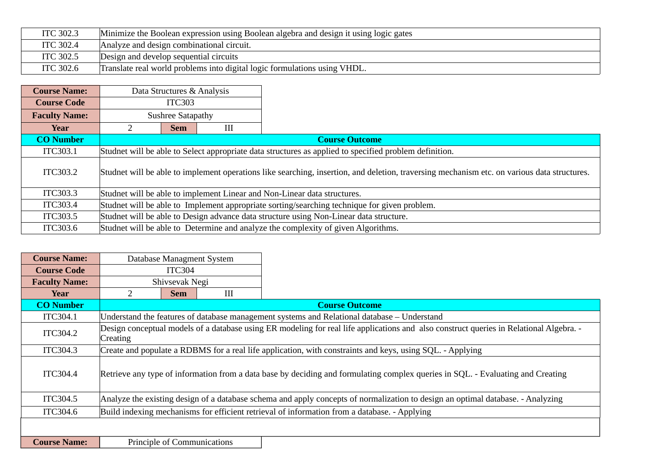| <b>ITC 302.3</b> | Minimize the Boolean expression using Boolean algebra and design it using logic gates |
|------------------|---------------------------------------------------------------------------------------|
| <b>ITC 302.4</b> | Analyze and design combinational circuit.                                             |
| ITC 302.5        | Design and develop sequential circuits                                                |
| <b>ITC 302.6</b> | Translate real world problems into digital logic formulations using VHDL.             |

| <b>Course Name:</b>  |               | Data Structures & Analysis                                                                                                                  |   |                                                                                        |  |  |  |
|----------------------|---------------|---------------------------------------------------------------------------------------------------------------------------------------------|---|----------------------------------------------------------------------------------------|--|--|--|
| <b>Course Code</b>   | <b>ITC303</b> |                                                                                                                                             |   |                                                                                        |  |  |  |
| <b>Faculty Name:</b> |               | <b>Sushree Satapathy</b>                                                                                                                    |   |                                                                                        |  |  |  |
| Year                 |               | <b>Sem</b>                                                                                                                                  | Ш |                                                                                        |  |  |  |
| <b>CO Number</b>     |               |                                                                                                                                             |   | <b>Course Outcome</b>                                                                  |  |  |  |
| ITC303.1             |               | Studnet will be able to Select appropriate data structures as applied to specified problem definition.                                      |   |                                                                                        |  |  |  |
| ITC303.2             |               | Studnet will be able to implement operations like searching, insertion, and deletion, traversing mechanism etc. on various data structures. |   |                                                                                        |  |  |  |
| ITC303.3             |               | Studnet will be able to implement Linear and Non-Linear data structures.                                                                    |   |                                                                                        |  |  |  |
| ITC303.4             |               | Studnet will be able to Implement appropriate sorting/searching technique for given problem.                                                |   |                                                                                        |  |  |  |
| ITC303.5             |               |                                                                                                                                             |   | Studnet will be able to Design advance data structure using Non-Linear data structure. |  |  |  |
| <b>ITC303.6</b>      |               |                                                                                                                                             |   | Studnet will be able to Determine and analyze the complexity of given Algorithms.      |  |  |  |

| <b>Course Name:</b>  |                |                                                                                                                                         | Database Managment System |                                                                                                                                 |  |  |  |  |
|----------------------|----------------|-----------------------------------------------------------------------------------------------------------------------------------------|---------------------------|---------------------------------------------------------------------------------------------------------------------------------|--|--|--|--|
| <b>Course Code</b>   |                | <b>ITC304</b>                                                                                                                           |                           |                                                                                                                                 |  |  |  |  |
| <b>Faculty Name:</b> |                | Shivsevak Negi                                                                                                                          |                           |                                                                                                                                 |  |  |  |  |
| Year                 | $\overline{2}$ | <b>Sem</b>                                                                                                                              | III                       |                                                                                                                                 |  |  |  |  |
| <b>CO Number</b>     |                |                                                                                                                                         |                           | <b>Course Outcome</b>                                                                                                           |  |  |  |  |
| ITC304.1             |                |                                                                                                                                         |                           | Understand the features of database management systems and Relational database – Understand                                     |  |  |  |  |
| ITC304.2             | $C$ reating    | Design conceptual models of a database using ER modeling for real life applications and also construct queries in Relational Algebra. - |                           |                                                                                                                                 |  |  |  |  |
| ITC304.3             |                | Create and populate a RDBMS for a real life application, with constraints and keys, using SQL. - Applying                               |                           |                                                                                                                                 |  |  |  |  |
| <b>ITC304.4</b>      |                |                                                                                                                                         |                           | Retrieve any type of information from a data base by deciding and formulating complex queries in SQL. - Evaluating and Creating |  |  |  |  |
| ITC304.5             |                | Analyze the existing design of a database schema and apply concepts of normalization to design an optimal database. - Analyzing         |                           |                                                                                                                                 |  |  |  |  |
| <b>ITC304.6</b>      |                | Build indexing mechanisms for efficient retrieval of information from a database. - Applying                                            |                           |                                                                                                                                 |  |  |  |  |
|                      |                |                                                                                                                                         |                           |                                                                                                                                 |  |  |  |  |
| <b>Course Name:</b>  |                | Principle of Communications                                                                                                             |                           |                                                                                                                                 |  |  |  |  |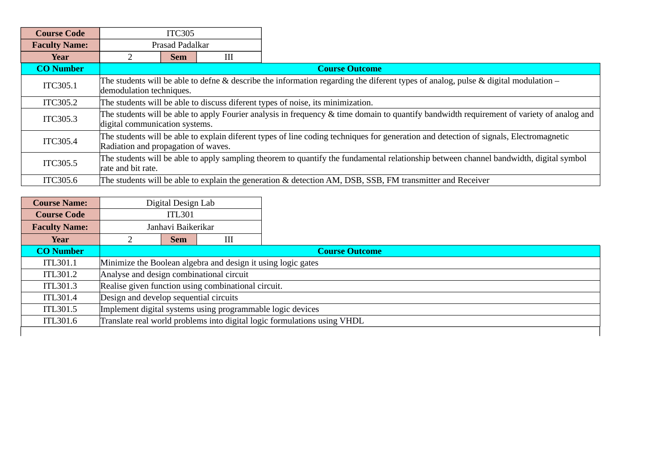| <b>Course Code</b>   |                                                                                                                                                                               | <b>ITC305</b>                                                                   |   |                                                                                                                                        |  |  |  |
|----------------------|-------------------------------------------------------------------------------------------------------------------------------------------------------------------------------|---------------------------------------------------------------------------------|---|----------------------------------------------------------------------------------------------------------------------------------------|--|--|--|
| <b>Faculty Name:</b> |                                                                                                                                                                               | Prasad Padalkar                                                                 |   |                                                                                                                                        |  |  |  |
| Year                 |                                                                                                                                                                               | Sem                                                                             | Ш |                                                                                                                                        |  |  |  |
| <b>CO Number</b>     |                                                                                                                                                                               |                                                                                 |   | <b>Course Outcome</b>                                                                                                                  |  |  |  |
| ITC305.1             | demodulation techniques.                                                                                                                                                      |                                                                                 |   | The students will be able to defne & describe the information regarding the diferent types of analog, pulse & digital modulation –     |  |  |  |
| ITC305.2             |                                                                                                                                                                               | The students will be able to discuss diferent types of noise, its minimization. |   |                                                                                                                                        |  |  |  |
| ITC305.3             | The students will be able to apply Fourier analysis in frequency & time domain to quantify bandwidth requirement of variety of analog and<br>digital communication systems.   |                                                                                 |   |                                                                                                                                        |  |  |  |
| ITC305.4             | The students will be able to explain diferent types of line coding techniques for generation and detection of signals, Electromagnetic<br>Radiation and propagation of waves. |                                                                                 |   |                                                                                                                                        |  |  |  |
| ITC305.5             | rate and bit rate.                                                                                                                                                            |                                                                                 |   | The students will be able to apply sampling theorem to quantify the fundamental relationship between channel bandwidth, digital symbol |  |  |  |
| <b>ITC305.6</b>      |                                                                                                                                                                               |                                                                                 |   | The students will be able to explain the generation & detection AM, DSB, SSB, FM transmitter and Receiver                              |  |  |  |

| <b>Course Name:</b>  | Digital Design Lab                                           |   |                                                                          |  |  |  |  |
|----------------------|--------------------------------------------------------------|---|--------------------------------------------------------------------------|--|--|--|--|
| <b>Course Code</b>   | <b>ITL301</b>                                                |   |                                                                          |  |  |  |  |
| <b>Faculty Name:</b> | Janhavi Baikerikar                                           |   |                                                                          |  |  |  |  |
| Year                 | <b>Sem</b>                                                   | Ш |                                                                          |  |  |  |  |
| <b>CO</b> Number     |                                                              |   | <b>Course Outcome</b>                                                    |  |  |  |  |
| <b>ITL301.1</b>      | Minimize the Boolean algebra and design it using logic gates |   |                                                                          |  |  |  |  |
| ITL301.2             | Analyse and design combinational circuit                     |   |                                                                          |  |  |  |  |
| <b>ITL301.3</b>      | Realise given function using combinational circuit.          |   |                                                                          |  |  |  |  |
| ITL301.4             | Design and develop sequential circuits                       |   |                                                                          |  |  |  |  |
| <b>ITL301.5</b>      | Implement digital systems using programmable logic devices   |   |                                                                          |  |  |  |  |
| <b>ITL301.6</b>      |                                                              |   | Translate real world problems into digital logic formulations using VHDL |  |  |  |  |
|                      |                                                              |   |                                                                          |  |  |  |  |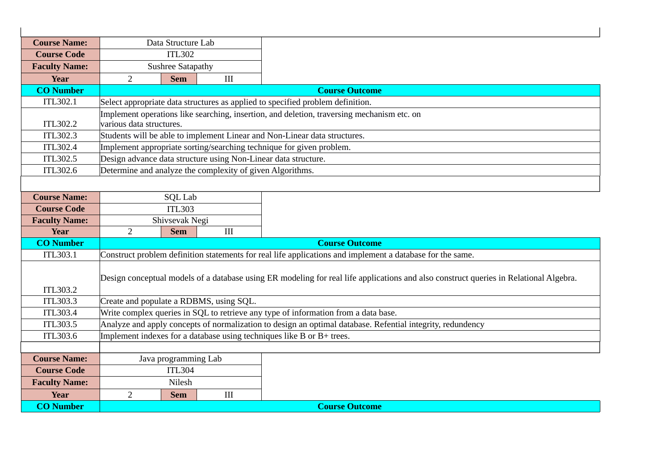| <b>Course Name:</b>  |                                                                                                                                       | Data Structure Lab       |                                                           |                                                                                                            |  |  |
|----------------------|---------------------------------------------------------------------------------------------------------------------------------------|--------------------------|-----------------------------------------------------------|------------------------------------------------------------------------------------------------------------|--|--|
| <b>Course Code</b>   |                                                                                                                                       | <b>ITL302</b>            |                                                           |                                                                                                            |  |  |
| <b>Faculty Name:</b> |                                                                                                                                       | <b>Sushree Satapathy</b> |                                                           |                                                                                                            |  |  |
| <b>Year</b>          | $\overline{2}$                                                                                                                        | <b>Sem</b>               | III                                                       |                                                                                                            |  |  |
| <b>CO Number</b>     |                                                                                                                                       |                          |                                                           | <b>Course Outcome</b>                                                                                      |  |  |
| ITL302.1             |                                                                                                                                       |                          |                                                           | Select appropriate data structures as applied to specified problem definition.                             |  |  |
| ITL302.2             | various data structures.                                                                                                              |                          |                                                           | Implement operations like searching, insertion, and deletion, traversing mechanism etc. on                 |  |  |
| ITL302.3             |                                                                                                                                       |                          |                                                           | Students will be able to implement Linear and Non-Linear data structures.                                  |  |  |
| ITL302.4             |                                                                                                                                       |                          |                                                           | Implement appropriate sorting/searching technique for given problem.                                       |  |  |
| <b>ITL302.5</b>      |                                                                                                                                       |                          |                                                           | Design advance data structure using Non-Linear data structure.                                             |  |  |
| ITL302.6             |                                                                                                                                       |                          | Determine and analyze the complexity of given Algorithms. |                                                                                                            |  |  |
|                      |                                                                                                                                       |                          |                                                           |                                                                                                            |  |  |
| <b>Course Name:</b>  |                                                                                                                                       | <b>SQL Lab</b>           |                                                           |                                                                                                            |  |  |
| <b>Course Code</b>   |                                                                                                                                       | <b>ITL303</b>            |                                                           |                                                                                                            |  |  |
| <b>Faculty Name:</b> | Shivsevak Negi                                                                                                                        |                          |                                                           |                                                                                                            |  |  |
| <b>Year</b>          | $\overline{2}$                                                                                                                        | <b>Sem</b>               | $\rm III$                                                 |                                                                                                            |  |  |
| <b>CO Number</b>     |                                                                                                                                       |                          |                                                           | <b>Course Outcome</b>                                                                                      |  |  |
| <b>ITL303.1</b>      |                                                                                                                                       |                          |                                                           | Construct problem definition statements for real life applications and implement a database for the same.  |  |  |
| ITL303.2             | Design conceptual models of a database using ER modeling for real life applications and also construct queries in Relational Algebra. |                          |                                                           |                                                                                                            |  |  |
| <b>ITL303.3</b>      | Create and populate a RDBMS, using SQL.                                                                                               |                          |                                                           |                                                                                                            |  |  |
| <b>ITL303.4</b>      |                                                                                                                                       |                          |                                                           | Write complex queries in SQL to retrieve any type of information from a data base.                         |  |  |
| <b>ITL303.5</b>      |                                                                                                                                       |                          |                                                           | Analyze and apply concepts of normalization to design an optimal database. Refential integrity, redundency |  |  |
| <b>ITL303.6</b>      |                                                                                                                                       |                          |                                                           | Implement indexes for a database using techniques like $B$ or $B$ + trees.                                 |  |  |
|                      |                                                                                                                                       |                          |                                                           |                                                                                                            |  |  |
| <b>Course Name:</b>  |                                                                                                                                       | Java programming Lab     |                                                           |                                                                                                            |  |  |
| <b>Course Code</b>   |                                                                                                                                       | <b>ITL304</b>            |                                                           |                                                                                                            |  |  |
| <b>Faculty Name:</b> |                                                                                                                                       | Nilesh                   |                                                           |                                                                                                            |  |  |
| <b>Year</b>          | $\overline{2}$                                                                                                                        | <b>Sem</b>               | III                                                       |                                                                                                            |  |  |
| <b>CO Number</b>     |                                                                                                                                       |                          |                                                           | <b>Course Outcome</b>                                                                                      |  |  |

 $\overline{1}$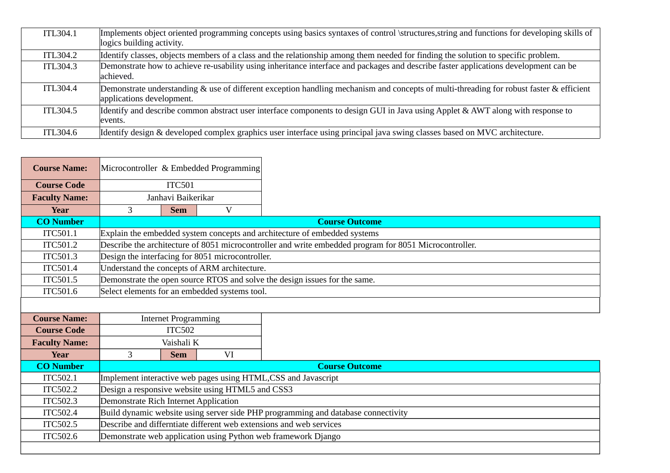| ITL304.1 | Implements object oriented programming concepts using basics syntaxes of control \structures, string and functions for developing skills of<br>logics building activity. |
|----------|--------------------------------------------------------------------------------------------------------------------------------------------------------------------------|
| ITL304.2 | Identify classes, objects members of a class and the relationship among them needed for finding the solution to specific problem.                                        |
| ITL304.3 | Demonstrate how to achieve re-usability using inheritance interface and packages and describe faster applications development can be<br>achieved.                        |
| ITL304.4 | Demonstrate understanding & use of different exception handling mechanism and concepts of multi-threading for robust faster & efficient<br>applications development.     |
| ITL304.5 | Identify and describe common abstract user interface components to design GUI in Java using Applet & AWT along with response to<br>levents.                              |
| ITL304.6 | Identify design & developed complex graphics user interface using principal java swing classes based on MVC architecture.                                                |

| <b>Course Name:</b>  | Microcontroller & Embedded Programming |                                                  |                                                  |                                                                                                        |  |  |
|----------------------|----------------------------------------|--------------------------------------------------|--------------------------------------------------|--------------------------------------------------------------------------------------------------------|--|--|
| <b>Course Code</b>   |                                        | <b>ITC501</b>                                    |                                                  |                                                                                                        |  |  |
| <b>Faculty Name:</b> |                                        | Janhavi Baikerikar                               |                                                  |                                                                                                        |  |  |
| Year                 | 3                                      | <b>Sem</b>                                       | V                                                |                                                                                                        |  |  |
| <b>CO Number</b>     |                                        |                                                  |                                                  | <b>Course Outcome</b>                                                                                  |  |  |
| ITC501.1             |                                        |                                                  |                                                  | Explain the embedded system concepts and architecture of embedded systems                              |  |  |
| ITC501.2             |                                        |                                                  |                                                  | Describe the architecture of 8051 microcontroller and write embedded program for 8051 Microcontroller. |  |  |
| <b>ITC501.3</b>      |                                        |                                                  | Design the interfacing for 8051 microcontroller. |                                                                                                        |  |  |
| <b>ITC501.4</b>      |                                        |                                                  | Understand the concepts of ARM architecture.     |                                                                                                        |  |  |
| ITC501.5             |                                        |                                                  |                                                  | Demonstrate the open source RTOS and solve the design issues for the same.                             |  |  |
| ITC501.6             |                                        |                                                  | Select elements for an embedded systems tool.    |                                                                                                        |  |  |
|                      |                                        |                                                  |                                                  |                                                                                                        |  |  |
| <b>Course Name:</b>  |                                        | <b>Internet Programming</b>                      |                                                  |                                                                                                        |  |  |
| <b>Course Code</b>   |                                        | <b>ITC502</b>                                    |                                                  |                                                                                                        |  |  |
| <b>Faculty Name:</b> |                                        | Vaishali K                                       |                                                  |                                                                                                        |  |  |
| <b>Year</b>          | 3                                      | <b>Sem</b>                                       | VI                                               |                                                                                                        |  |  |
| <b>CO Number</b>     |                                        |                                                  |                                                  | <b>Course Outcome</b>                                                                                  |  |  |
| ITC502.1             |                                        |                                                  |                                                  | Implement interactive web pages using HTML, CSS and Javascript                                         |  |  |
| ITC502.2             |                                        | Design a responsive website using HTML5 and CSS3 |                                                  |                                                                                                        |  |  |
| ITC502.3             | Demonstrate Rich Internet Application  |                                                  |                                                  |                                                                                                        |  |  |
| ITC502.4             |                                        |                                                  |                                                  | Build dynamic website using server side PHP programming and database connectivity                      |  |  |
| ITC502.5             |                                        |                                                  |                                                  | Describe and differntiate different web extensions and web services                                    |  |  |
| ITC502.6             |                                        |                                                  |                                                  | Demonstrate web application using Python web framework Django                                          |  |  |
|                      |                                        |                                                  |                                                  |                                                                                                        |  |  |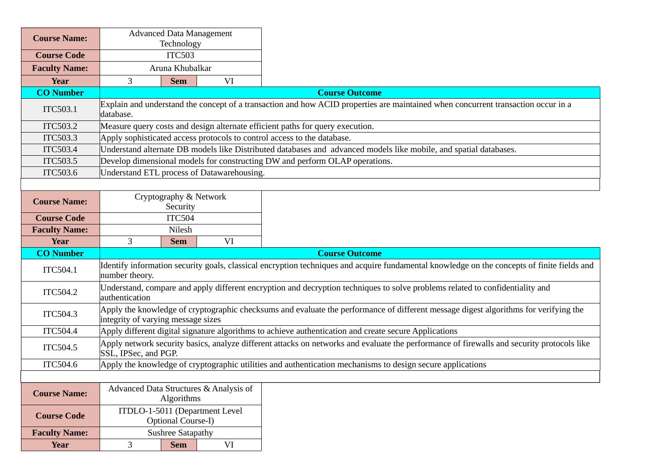| <b>Course Name:</b>  |                                    | <b>Advanced Data Management</b><br>Technology |                                            |                                                                                                                                             |
|----------------------|------------------------------------|-----------------------------------------------|--------------------------------------------|---------------------------------------------------------------------------------------------------------------------------------------------|
| <b>Course Code</b>   | <b>ITC503</b>                      |                                               |                                            |                                                                                                                                             |
| <b>Faculty Name:</b> | Aruna Khubalkar                    |                                               |                                            |                                                                                                                                             |
| Year                 | 3                                  | <b>Sem</b>                                    | VI                                         |                                                                                                                                             |
| <b>CO Number</b>     |                                    |                                               |                                            | <b>Course Outcome</b>                                                                                                                       |
| ITC503.1             | database.                          |                                               |                                            | Explain and understand the concept of a transaction and how ACID properties are maintained when concurrent transaction occur in a           |
| <b>ITC503.2</b>      |                                    |                                               |                                            | Measure query costs and design alternate efficient paths for query execution.                                                               |
| <b>ITC503.3</b>      |                                    |                                               |                                            | Apply sophisticated access protocols to control access to the database.                                                                     |
| <b>ITC503.4</b>      |                                    |                                               |                                            | Understand alternate DB models like Distributed databases and advanced models like mobile, and spatial databases.                           |
| <b>ITC503.5</b>      |                                    |                                               |                                            | Develop dimensional models for constructing DW and perform OLAP operations.                                                                 |
| <b>ITC503.6</b>      |                                    |                                               | Understand ETL process of Datawarehousing. |                                                                                                                                             |
| <b>Course Name:</b>  |                                    | Cryptography & Network<br>Security            |                                            |                                                                                                                                             |
| <b>Course Code</b>   |                                    | <b>ITC504</b>                                 |                                            |                                                                                                                                             |
| <b>Faculty Name:</b> | Nilesh                             |                                               |                                            |                                                                                                                                             |
| Year                 | 3                                  | <b>Sem</b>                                    | VI                                         |                                                                                                                                             |
|                      |                                    |                                               |                                            |                                                                                                                                             |
| <b>CO Number</b>     |                                    |                                               |                                            | <b>Course Outcome</b>                                                                                                                       |
| ITC504.1             | number theory.                     |                                               |                                            | Identify information security goals, classical encryption techniques and acquire fundamental knowledge on the concepts of finite fields and |
| <b>ITC504.2</b>      | authentication                     |                                               |                                            | Understand, compare and apply different encryption and decryption techniques to solve problems related to confidentiality and               |
| <b>ITC504.3</b>      | integrity of varying message sizes |                                               |                                            | Apply the knowledge of cryptographic checksums and evaluate the performance of different message digest algorithms for verifying the        |
| <b>ITC504.4</b>      |                                    |                                               |                                            | Apply different digital signature algorithms to achieve authentication and create secure Applications                                       |
| <b>ITC504.5</b>      | SSL, IPSec, and PGP.               |                                               |                                            | Apply network security basics, analyze different attacks on networks and evaluate the performance of firewalls and security protocols like  |
| ITC504.6             |                                    |                                               |                                            | Apply the knowledge of cryptographic utilities and authentication mechanisms to design secure applications                                  |
|                      |                                    |                                               |                                            |                                                                                                                                             |
| <b>Course Name:</b>  |                                    | Algorithms                                    | Advanced Data Structures & Analysis of     |                                                                                                                                             |
| <b>Course Code</b>   |                                    | Optional Course-I)                            | ITDLO-1-5011 (Department Level             |                                                                                                                                             |
| <b>Faculty Name:</b> |                                    | <b>Sushree Satapathy</b>                      |                                            |                                                                                                                                             |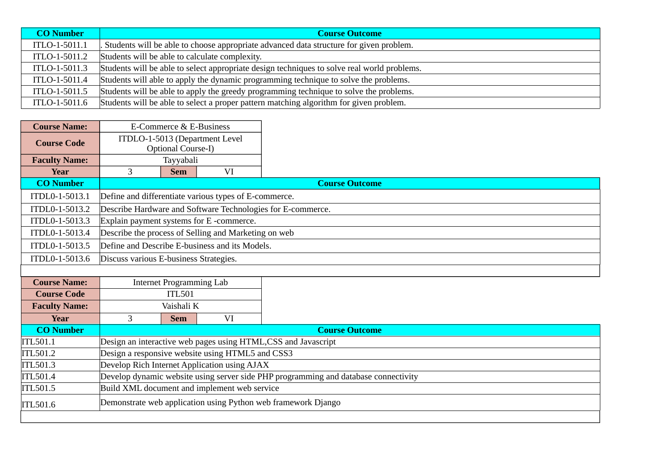| <b>CO Number</b> | <b>Course Outcome</b>                                                                       |
|------------------|---------------------------------------------------------------------------------------------|
| ITLO-1-5011.1    | Students will be able to choose appropriate advanced data structure for given problem.      |
| ITLO-1-5011.2    | Students will be able to calculate complexity.                                              |
| ITLO-1-5011.3    | Students will be able to select appropriate design techniques to solve real world problems. |
| ITLO-1-5011.4    | Students will able to apply the dynamic programming technique to solve the problems.        |
| ITLO-1-5011.5    | Students will be able to apply the greedy programming technique to solve the problems.      |
| ITLO-1-5011.6    | Students will be able to select a proper pattern matching algorithm for given problem.      |

| <b>Course Name:</b>  |                                                                | E-Commerce & E-Business         |                                                      |                                                                                     |  |  |  |
|----------------------|----------------------------------------------------------------|---------------------------------|------------------------------------------------------|-------------------------------------------------------------------------------------|--|--|--|
| <b>Course Code</b>   |                                                                | Optional Course-I)              | ITDLO-1-5013 (Department Level                       |                                                                                     |  |  |  |
| <b>Faculty Name:</b> |                                                                | Tayyabali                       |                                                      |                                                                                     |  |  |  |
| <b>Year</b>          | 3                                                              | <b>Sem</b>                      | VI                                                   |                                                                                     |  |  |  |
| <b>CO Number</b>     |                                                                |                                 |                                                      | <b>Course Outcome</b>                                                               |  |  |  |
| ITDL0-1-5013.1       | Define and differentiate various types of E-commerce.          |                                 |                                                      |                                                                                     |  |  |  |
| ITDL0-1-5013.2       |                                                                |                                 |                                                      | Describe Hardware and Software Technologies for E-commerce.                         |  |  |  |
| ITDL0-1-5013.3       | Explain payment systems for E-commerce.                        |                                 |                                                      |                                                                                     |  |  |  |
| ITDL0-1-5013.4       |                                                                |                                 | Describe the process of Selling and Marketing on web |                                                                                     |  |  |  |
| ITDL0-1-5013.5       | Define and Describe E-business and its Models.                 |                                 |                                                      |                                                                                     |  |  |  |
| ITDL0-1-5013.6       | Discuss various E-business Strategies.                         |                                 |                                                      |                                                                                     |  |  |  |
|                      |                                                                |                                 |                                                      |                                                                                     |  |  |  |
| <b>Course Name:</b>  |                                                                | <b>Internet Programming Lab</b> |                                                      |                                                                                     |  |  |  |
| <b>Course Code</b>   |                                                                | <b>ITL501</b>                   |                                                      |                                                                                     |  |  |  |
| <b>Faculty Name:</b> | Vaishali K                                                     |                                 |                                                      |                                                                                     |  |  |  |
| Year                 | 3                                                              | <b>Sem</b>                      | VI                                                   |                                                                                     |  |  |  |
| <b>CO Number</b>     |                                                                |                                 |                                                      | <b>Course Outcome</b>                                                               |  |  |  |
| ITL501.1             | Design an interactive web pages using HTML, CSS and Javascript |                                 |                                                      |                                                                                     |  |  |  |
| ITL501.2             |                                                                |                                 | Design a responsive website using HTML5 and CSS3     |                                                                                     |  |  |  |
| ITL501.3             |                                                                |                                 | Develop Rich Internet Application using AJAX         |                                                                                     |  |  |  |
| ITL501.4             |                                                                |                                 |                                                      | Develop dynamic website using server side PHP programming and database connectivity |  |  |  |
| ITL501.5             |                                                                |                                 | Build XML document and implement web service         |                                                                                     |  |  |  |
| ITL501.6             |                                                                |                                 |                                                      | Demonstrate web application using Python web framework Django                       |  |  |  |
|                      |                                                                |                                 |                                                      |                                                                                     |  |  |  |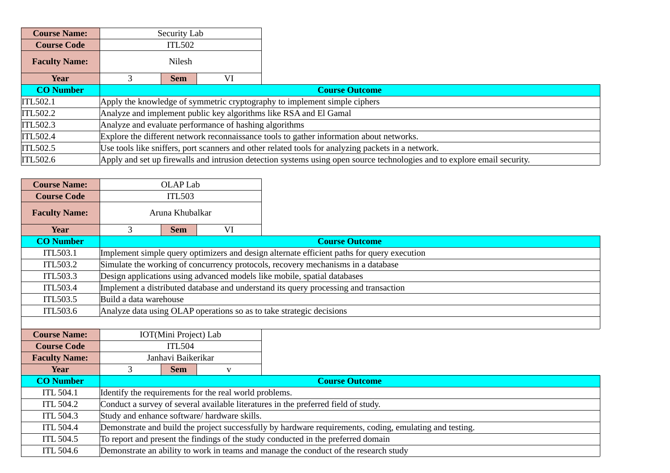| <b>Course Name:</b>  |                                                                   | Security Lab                                                                             |  |                                                                                                                          |  |  |  |
|----------------------|-------------------------------------------------------------------|------------------------------------------------------------------------------------------|--|--------------------------------------------------------------------------------------------------------------------------|--|--|--|
| <b>Course Code</b>   |                                                                   | ITL502                                                                                   |  |                                                                                                                          |  |  |  |
| <b>Faculty Name:</b> | Nilesh                                                            |                                                                                          |  |                                                                                                                          |  |  |  |
| Year                 | VI<br><b>Sem</b>                                                  |                                                                                          |  |                                                                                                                          |  |  |  |
| <b>CO Number</b>     |                                                                   | <b>Course Outcome</b>                                                                    |  |                                                                                                                          |  |  |  |
| <b>ITL502.1</b>      |                                                                   | Apply the knowledge of symmetric cryptography to implement simple ciphers                |  |                                                                                                                          |  |  |  |
| <b>ITL502.2</b>      | Analyze and implement public key algorithms like RSA and El Gamal |                                                                                          |  |                                                                                                                          |  |  |  |
| <b>ITL502.3</b>      |                                                                   | Analyze and evaluate performance of hashing algorithms                                   |  |                                                                                                                          |  |  |  |
| ITL502.4             |                                                                   | Explore the different network reconnaissance tools to gather information about networks. |  |                                                                                                                          |  |  |  |
| <b>ITL502.5</b>      |                                                                   |                                                                                          |  | Use tools like sniffers, port scanners and other related tools for analyzing packets in a network.                       |  |  |  |
| ITL502.6             |                                                                   |                                                                                          |  | Apply and set up firewalls and intrusion detection systems using open source technologies and to explore email security. |  |  |  |

 $\overline{\phantom{a}}$ 

| <b>Course Name:</b>  |                        | <b>OLAP Lab</b>    |                                                        |                                                                                                         |  |
|----------------------|------------------------|--------------------|--------------------------------------------------------|---------------------------------------------------------------------------------------------------------|--|
| <b>Course Code</b>   |                        | <b>ITL503</b>      |                                                        |                                                                                                         |  |
| <b>Faculty Name:</b> |                        | Aruna Khubalkar    |                                                        |                                                                                                         |  |
| Year                 | 3<br>VI<br><b>Sem</b>  |                    |                                                        |                                                                                                         |  |
| <b>CO Number</b>     |                        |                    |                                                        | <b>Course Outcome</b>                                                                                   |  |
| <b>ITL503.1</b>      |                        |                    |                                                        | Implement simple query optimizers and design alternate efficient paths for query execution              |  |
| <b>ITL503.2</b>      |                        |                    |                                                        | Simulate the working of concurrency protocols, recovery mechanisms in a database                        |  |
| <b>ITL503.3</b>      |                        |                    |                                                        | Design applications using advanced models like mobile, spatial databases                                |  |
| <b>ITL503.4</b>      |                        |                    |                                                        | Implement a distributed database and understand its query processing and transaction                    |  |
| <b>ITL503.5</b>      | Build a data warehouse |                    |                                                        |                                                                                                         |  |
| <b>ITL503.6</b>      |                        |                    |                                                        | Analyze data using OLAP operations so as to take strategic decisions                                    |  |
|                      |                        |                    |                                                        |                                                                                                         |  |
| <b>Course Name:</b>  | IOT(Mini Project) Lab  |                    |                                                        |                                                                                                         |  |
| <b>Course Code</b>   | <b>ITL504</b>          |                    |                                                        |                                                                                                         |  |
| <b>Faculty Name:</b> |                        | Janhavi Baikerikar |                                                        |                                                                                                         |  |
| <b>Year</b>          | 3                      | <b>Sem</b>         | $\mathbf{V}$                                           |                                                                                                         |  |
| <b>CO Number</b>     |                        |                    |                                                        | <b>Course Outcome</b>                                                                                   |  |
| <b>ITL 504.1</b>     |                        |                    | Identify the requirements for the real world problems. |                                                                                                         |  |
| <b>ITL 504.2</b>     |                        |                    |                                                        | Conduct a survey of several available literatures in the preferred field of study.                      |  |
| <b>ITL 504.3</b>     |                        |                    | Study and enhance software/ hardware skills.           |                                                                                                         |  |
| <b>ITL 504.4</b>     |                        |                    |                                                        | Demonstrate and build the project successfully by hardware requirements, coding, emulating and testing. |  |
| <b>ITL 504.5</b>     |                        |                    |                                                        | To report and present the findings of the study conducted in the preferred domain                       |  |
| <b>ITL 504.6</b>     |                        |                    |                                                        | Demonstrate an ability to work in teams and manage the conduct of the research study                    |  |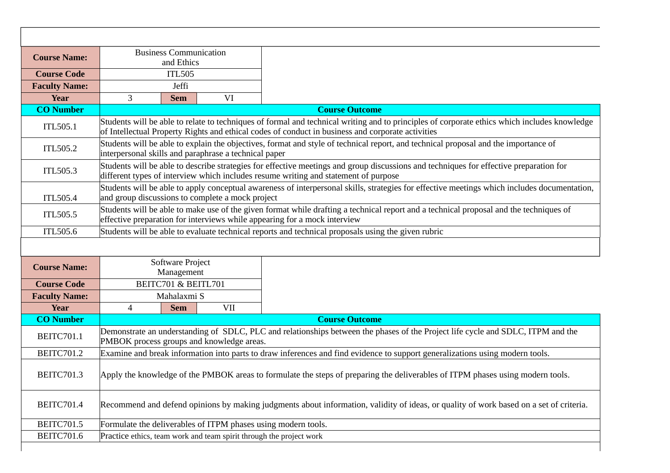| <b>Course Name:</b>  |                                                                                                                                                                                                                                                   | <b>Business Communication</b><br>and Ethics |                                           |                                                                                                                                                                                                                               |  |  |
|----------------------|---------------------------------------------------------------------------------------------------------------------------------------------------------------------------------------------------------------------------------------------------|---------------------------------------------|-------------------------------------------|-------------------------------------------------------------------------------------------------------------------------------------------------------------------------------------------------------------------------------|--|--|
| <b>Course Code</b>   |                                                                                                                                                                                                                                                   | <b>ITL505</b>                               |                                           |                                                                                                                                                                                                                               |  |  |
| <b>Faculty Name:</b> | Jeffi                                                                                                                                                                                                                                             |                                             |                                           |                                                                                                                                                                                                                               |  |  |
| <b>Year</b>          | 3                                                                                                                                                                                                                                                 | <b>Sem</b>                                  | VI                                        |                                                                                                                                                                                                                               |  |  |
| <b>CO Number</b>     |                                                                                                                                                                                                                                                   |                                             |                                           | <b>Course Outcome</b>                                                                                                                                                                                                         |  |  |
| <b>ITL505.1</b>      | Students will be able to relate to techniques of formal and technical writing and to principles of corporate ethics which includes knowledge<br>of Intellectual Property Rights and ethical codes of conduct in business and corporate activities |                                             |                                           |                                                                                                                                                                                                                               |  |  |
| <b>ITL505.2</b>      | Students will be able to explain the objectives, format and style of technical report, and technical proposal and the importance of<br>interpersonal skills and paraphrase a technical paper                                                      |                                             |                                           |                                                                                                                                                                                                                               |  |  |
| <b>ITL505.3</b>      |                                                                                                                                                                                                                                                   |                                             |                                           | Students will be able to describe strategies for effective meetings and group discussions and techniques for effective preparation for<br>different types of interview which includes resume writing and statement of purpose |  |  |
| <b>ITL505.4</b>      | Students will be able to apply conceptual awareness of interpersonal skills, strategies for effective meetings which includes documentation,<br>and group discussions to complete a mock project                                                  |                                             |                                           |                                                                                                                                                                                                                               |  |  |
| <b>ITL505.5</b>      | Students will be able to make use of the given format while drafting a technical report and a technical proposal and the techniques of<br>effective preparation for interviews while appearing for a mock interview                               |                                             |                                           |                                                                                                                                                                                                                               |  |  |
| <b>ITL505.6</b>      |                                                                                                                                                                                                                                                   |                                             |                                           | Students will be able to evaluate technical reports and technical proposals using the given rubric                                                                                                                            |  |  |
|                      |                                                                                                                                                                                                                                                   |                                             |                                           |                                                                                                                                                                                                                               |  |  |
|                      |                                                                                                                                                                                                                                                   |                                             |                                           |                                                                                                                                                                                                                               |  |  |
| <b>Course Name:</b>  | Software Project<br>Management                                                                                                                                                                                                                    |                                             |                                           |                                                                                                                                                                                                                               |  |  |
| <b>Course Code</b>   |                                                                                                                                                                                                                                                   | BEITC701 & BEITL701                         |                                           |                                                                                                                                                                                                                               |  |  |
| <b>Faculty Name:</b> |                                                                                                                                                                                                                                                   | Mahalaxmi S                                 |                                           |                                                                                                                                                                                                                               |  |  |
| <b>Year</b>          | 4                                                                                                                                                                                                                                                 | <b>Sem</b>                                  | <b>VII</b>                                |                                                                                                                                                                                                                               |  |  |
| <b>CO Number</b>     |                                                                                                                                                                                                                                                   |                                             |                                           | <b>Course Outcome</b>                                                                                                                                                                                                         |  |  |
| <b>BEITC701.1</b>    |                                                                                                                                                                                                                                                   |                                             | PMBOK process groups and knowledge areas. | Demonstrate an understanding of SDLC, PLC and relationships between the phases of the Project life cycle and SDLC, ITPM and the                                                                                               |  |  |
| <b>BEITC701.2</b>    |                                                                                                                                                                                                                                                   |                                             |                                           | Examine and break information into parts to draw inferences and find evidence to support generalizations using modern tools.                                                                                                  |  |  |
| <b>BEITC701.3</b>    |                                                                                                                                                                                                                                                   |                                             |                                           | Apply the knowledge of the PMBOK areas to formulate the steps of preparing the deliverables of ITPM phases using modern tools.                                                                                                |  |  |
| <b>BEITC701.4</b>    |                                                                                                                                                                                                                                                   |                                             |                                           | Recommend and defend opinions by making judgments about information, validity of ideas, or quality of work based on a set of criteria.                                                                                        |  |  |
| <b>BEITC701.5</b>    |                                                                                                                                                                                                                                                   |                                             |                                           | Formulate the deliverables of ITPM phases using modern tools.                                                                                                                                                                 |  |  |
| <b>BEITC701.6</b>    |                                                                                                                                                                                                                                                   |                                             |                                           | Practice ethics, team work and team spirit through the project work                                                                                                                                                           |  |  |
|                      |                                                                                                                                                                                                                                                   |                                             |                                           |                                                                                                                                                                                                                               |  |  |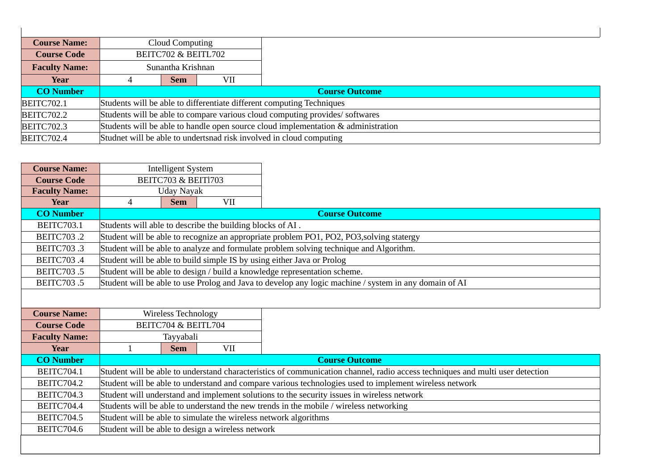| <b>Course Name:</b>  |                                                                             | Cloud Computing                                                                   |     |  |  |  |
|----------------------|-----------------------------------------------------------------------------|-----------------------------------------------------------------------------------|-----|--|--|--|
| <b>Course Code</b>   |                                                                             | BEITC702 & BEITL702                                                               |     |  |  |  |
| <b>Faculty Name:</b> |                                                                             | Sunantha Krishnan                                                                 |     |  |  |  |
| Year                 | 4                                                                           | <b>Sem</b>                                                                        | VII |  |  |  |
| <b>CO Number</b>     | <b>Course Outcome</b>                                                       |                                                                                   |     |  |  |  |
| <b>BEITC702.1</b>    | Students will be able to differentiate different computing Techniques       |                                                                                   |     |  |  |  |
| <b>BEITC702.2</b>    | Students will be able to compare various cloud computing provides/softwares |                                                                                   |     |  |  |  |
| <b>BEITC702.3</b>    |                                                                             | Students will be able to handle open source cloud implementation & administration |     |  |  |  |
| <b>BEITC702.4</b>    | Studnet will be able to undertsnad risk involved in cloud computing         |                                                                                   |     |  |  |  |

 $\overline{\phantom{a}}$ 

| <b>Course Name:</b>  |                                                           | <b>Intelligent System</b>                                                                |                                                   |                                                                                                                               |  |  |
|----------------------|-----------------------------------------------------------|------------------------------------------------------------------------------------------|---------------------------------------------------|-------------------------------------------------------------------------------------------------------------------------------|--|--|
| <b>Course Code</b>   |                                                           | BEITC703 & BEIT1703                                                                      |                                                   |                                                                                                                               |  |  |
| <b>Faculty Name:</b> | Uday Nayak                                                |                                                                                          |                                                   |                                                                                                                               |  |  |
| Year                 | 4                                                         | <b>Sem</b>                                                                               | <b>VII</b>                                        |                                                                                                                               |  |  |
| <b>CO Number</b>     |                                                           |                                                                                          |                                                   | <b>Course Outcome</b>                                                                                                         |  |  |
| <b>BEITC703.1</b>    | Students will able to describe the building blocks of AI. |                                                                                          |                                                   |                                                                                                                               |  |  |
| <b>BEITC703.2</b>    |                                                           | Student will be able to recognize an appropriate problem PO1, PO2, PO3, solving statergy |                                                   |                                                                                                                               |  |  |
| <b>BEITC703.3</b>    |                                                           |                                                                                          |                                                   | Student will be able to analyze and formulate problem solving technique and Algorithm.                                        |  |  |
| <b>BEITC703.4</b>    |                                                           |                                                                                          |                                                   | Student will be able to build simple IS by using either Java or Prolog                                                        |  |  |
| <b>BEITC703.5</b>    |                                                           | Student will be able to design / build a knowledge representation scheme.                |                                                   |                                                                                                                               |  |  |
| <b>BEITC703.5</b>    |                                                           |                                                                                          |                                                   | Student will be able to use Prolog and Java to develop any logic machine / system in any domain of AI                         |  |  |
|                      |                                                           |                                                                                          |                                                   |                                                                                                                               |  |  |
| <b>Course Name:</b>  |                                                           | Wireless Technology                                                                      |                                                   |                                                                                                                               |  |  |
| <b>Course Code</b>   | BEITC704 & BEITL704                                       |                                                                                          |                                                   |                                                                                                                               |  |  |
| <b>Faculty Name:</b> | Tayyabali                                                 |                                                                                          |                                                   |                                                                                                                               |  |  |
| Year                 | $\mathbf{1}$                                              | <b>Sem</b>                                                                               | <b>VII</b>                                        |                                                                                                                               |  |  |
| <b>CO Number</b>     | <b>Course Outcome</b>                                     |                                                                                          |                                                   |                                                                                                                               |  |  |
| <b>BEITC704.1</b>    |                                                           |                                                                                          |                                                   |                                                                                                                               |  |  |
|                      |                                                           |                                                                                          |                                                   | Student will be able to understand characteristics of communication channel, radio access techniques and multi user detection |  |  |
| <b>BEITC704.2</b>    |                                                           |                                                                                          |                                                   | Student will be able to understand and compare various technologies used to implement wireless network                        |  |  |
| BEITC704.3           |                                                           |                                                                                          |                                                   | Student will understand and implement solutions to the security issues in wireless network                                    |  |  |
| <b>BEITC704.4</b>    |                                                           |                                                                                          |                                                   | Students will be able to understand the new trends in the mobile / wireless networking                                        |  |  |
| <b>BEITC704.5</b>    |                                                           |                                                                                          |                                                   | Student will be able to simulate the wireless network algorithms                                                              |  |  |
| BEITC704.6           |                                                           |                                                                                          | Student will be able to design a wireless network |                                                                                                                               |  |  |